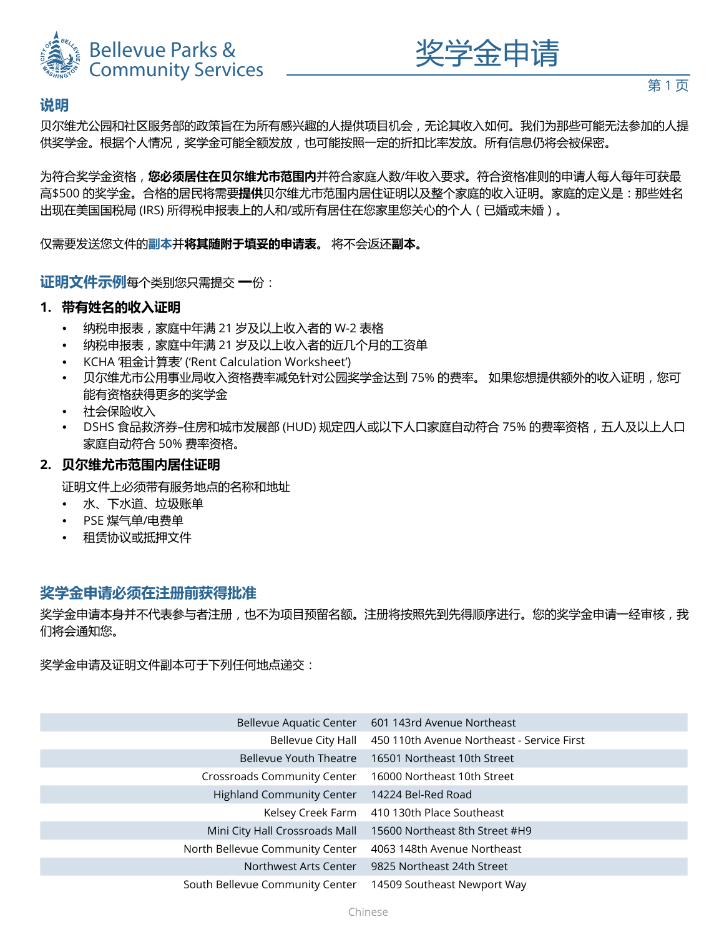



# **说明**

贝尔维尤公园和社区服务部的政策旨在为所有感兴趣的人提供项目机会,无论其收入如何。我们为那些可能无法参加的人提 供奖学金。根据个人情况,奖学金可能全额发放,也可能按照一定的折扣比率发放。所有信息仍将会被保密。

为符合奖学金资格,**您必须居住在贝尔维尤市范围内**并符合家庭人数/年收入要求。符合资格准则的申请人每人每年可获最 高\$500 的奖学金。合格的居民将需要**提供**贝尔维尤市范围内居住证明以及整个家庭的收入证明。家庭的定义是:那些姓名 出现在美国国税局 (IRS) 所得税申报表上的人和/或所有居住在您家里您关心的个人(已婚或未婚)。

仅需要发送您文件的**副本**并**将其随附于填妥的申请表。** 将不会返还**副本。**

**证明文件示例**每个类别您只需提交 **一**份:

### **1. 带有姓名的收入证明**

- 纳税申报表,家庭中年满 21 岁及以上收入者的 W-2 表格
- 纳税申报表,家庭中年满 21 岁及以上收入者的近几个月的工资单
- KCHA '租金计算表' ('Rent Calculation Worksheet')
- 贝尔维尤市公用事业局收入资格费率减免针对公园奖学金达到 75% 的费率。 如果您想提供额外的收入证明,您可 能有资格获得更多的奖学金
- 社会保险收入
- DSHS 食品救济券-住房和城市发展部 (HUD) 规定四人或以下人口家庭自动符合 75% 的费率资格,五人及以上人口 家庭自动符合 50% 费率资格。

### **2. 贝尔维尤市范围内居住证明**

证明文件上必须带有服务地点的名称和地址

- 水、下水道、垃圾账单
- PSE 煤气单/电费单
- 租赁协议或抵押文件

## **奖学金申请必须在注册前获得批准**

奖学金申请本身并不代表参与者注册,也不为项目预留名额。注册将按照先到先得顺序进行。您的奖学金申请一经审核,我 们将会通知您。

奖学金申请及证明文件副本可于下列任何地点递交:

| Bellevue Aquatic Center          | 601 143rd Avenue Northeast                 |
|----------------------------------|--------------------------------------------|
| Bellevue City Hall               | 450 110th Avenue Northeast - Service First |
| Bellevue Youth Theatre           | 16501 Northeast 10th Street                |
| Crossroads Community Center      | 16000 Northeast 10th Street                |
| <b>Highland Community Center</b> | 14224 Bel-Red Road                         |
| Kelsey Creek Farm                | 410 130th Place Southeast                  |
| Mini City Hall Crossroads Mall   | 15600 Northeast 8th Street #H9             |
| North Bellevue Community Center  | 4063 148th Avenue Northeast                |
| Northwest Arts Center            | 9825 Northeast 24th Street                 |
| South Bellevue Community Center  | 14509 Southeast Newport Way                |